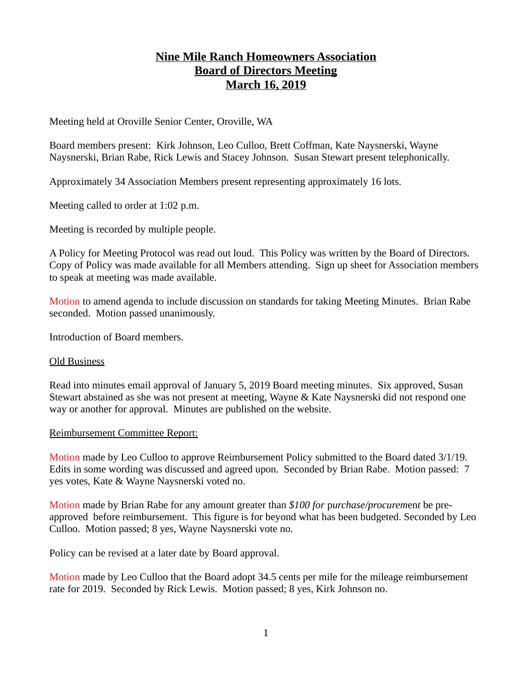# **Nine Mile Ranch Homeowners Association Board of Directors Meeting March 16, 2019**

Meeting held at Oroville Senior Center, Oroville, WA

Board members present: Kirk Johnson, Leo Culloo, Brett Coffman, Kate Naysnerski, Wayne Naysnerski, Brian Rabe, Rick Lewis and Stacey Johnson. Susan Stewart present telephonically.

Approximately 34 Association Members present representing approximately 16 lots.

Meeting called to order at 1:02 p.m.

Meeting is recorded by multiple people.

A Policy for Meeting Protocol was read out loud. This Policy was written by the Board of Directors. Copy of Policy was made available for all Members attending. Sign up sheet for Association members to speak at meeting was made available.

Motion to amend agenda to include discussion on standards for taking Meeting Minutes. Brian Rabe seconded. Motion passed unanimously.

Introduction of Board members.

#### Old Business

Read into minutes email approval of January 5, 2019 Board meeting minutes. Six approved, Susan Stewart abstained as she was not present at meeting, Wayne & Kate Naysnerski did not respond one way or another for approval. Minutes are published on the website.

#### Reimbursement Committee Report:

Motion made by Leo Culloo to approve Reimbursement Policy submitted to the Board dated 3/1/19. Edits in some wording was discussed and agreed upon. Seconded by Brian Rabe. Motion passed: 7 yes votes, Kate & Wayne Naysnerski voted no.

Motion made by Brian Rabe for any amount greater than *\$100 for* p*urchase/procurem*en*t* be preapproved before reimbursement. This figure is for beyond what has been budgeted. Seconded by Leo Culloo. Motion passed; 8 yes, Wayne Naysnerski vote no.

Policy can be revised at a later date by Board approval.

Motion made by Leo Culloo that the Board adopt 34.5 cents per mile for the mileage reimbursement rate for 2019. Seconded by Rick Lewis. Motion passed; 8 yes, Kirk Johnson no.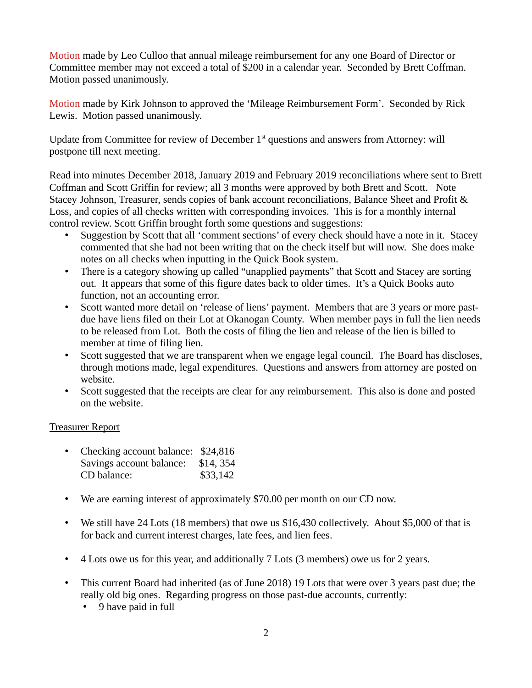Motion made by Leo Culloo that annual mileage reimbursement for any one Board of Director or Committee member may not exceed a total of \$200 in a calendar year. Seconded by Brett Coffman. Motion passed unanimously.

Motion made by Kirk Johnson to approved the 'Mileage Reimbursement Form'. Seconded by Rick Lewis. Motion passed unanimously.

Update from Committee for review of December 1<sup>st</sup> questions and answers from Attorney: will postpone till next meeting.

Read into minutes December 2018, January 2019 and February 2019 reconciliations where sent to Brett Coffman and Scott Griffin for review; all 3 months were approved by both Brett and Scott. Note Stacey Johnson, Treasurer, sends copies of bank account reconciliations, Balance Sheet and Profit & Loss, and copies of all checks written with corresponding invoices. This is for a monthly internal control review. Scott Griffin brought forth some questions and suggestions:

- Suggestion by Scott that all 'comment sections' of every check should have a note in it. Stacey commented that she had not been writing that on the check itself but will now. She does make notes on all checks when inputting in the Quick Book system.
- There is a category showing up called "unapplied payments" that Scott and Stacey are sorting out. It appears that some of this figure dates back to older times. It's a Quick Books auto function, not an accounting error.
- Scott wanted more detail on 'release of liens' payment. Members that are 3 years or more pastdue have liens filed on their Lot at Okanogan County. When member pays in full the lien needs to be released from Lot. Both the costs of filing the lien and release of the lien is billed to member at time of filing lien.
- Scott suggested that we are transparent when we engage legal council. The Board has discloses, through motions made, legal expenditures. Questions and answers from attorney are posted on website.
- Scott suggested that the receipts are clear for any reimbursement. This also is done and posted on the website.

## Treasurer Report

| $\bullet$ | Checking account balance: \$24,816 |          |
|-----------|------------------------------------|----------|
|           | Savings account balance:           | \$14,354 |
|           | CD balance:                        | \$33,142 |

- We are earning interest of approximately \$70.00 per month on our CD now.
- We still have 24 Lots (18 members) that owe us \$16,430 collectively. About \$5,000 of that is for back and current interest charges, late fees, and lien fees.
- 4 Lots owe us for this year, and additionally 7 Lots (3 members) owe us for 2 years.
- This current Board had inherited (as of June 2018) 19 Lots that were over 3 years past due; the really old big ones. Regarding progress on those past-due accounts, currently:
	- 9 have paid in full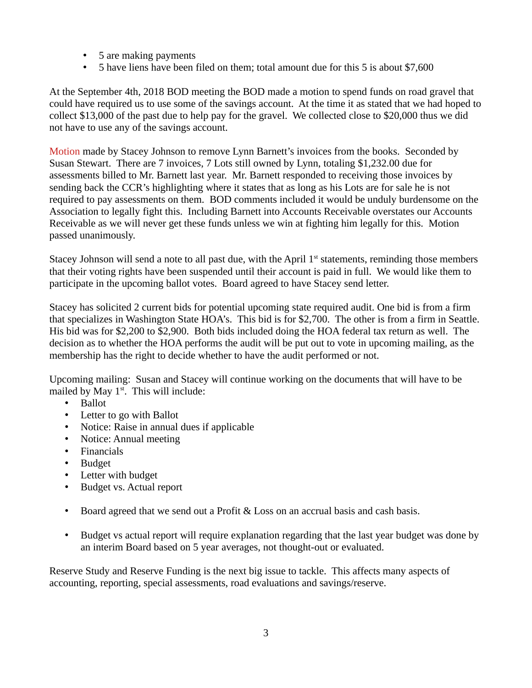- 5 are making payments
- 5 have liens have been filed on them; total amount due for this 5 is about \$7,600

At the September 4th, 2018 BOD meeting the BOD made a motion to spend funds on road gravel that could have required us to use some of the savings account. At the time it as stated that we had hoped to collect \$13,000 of the past due to help pay for the gravel. We collected close to \$20,000 thus we did not have to use any of the savings account.

Motion made by Stacey Johnson to remove Lynn Barnett's invoices from the books. Seconded by Susan Stewart. There are 7 invoices, 7 Lots still owned by Lynn, totaling \$1,232.00 due for assessments billed to Mr. Barnett last year. Mr. Barnett responded to receiving those invoices by sending back the CCR's highlighting where it states that as long as his Lots are for sale he is not required to pay assessments on them. BOD comments included it would be unduly burdensome on the Association to legally fight this. Including Barnett into Accounts Receivable overstates our Accounts Receivable as we will never get these funds unless we win at fighting him legally for this. Motion passed unanimously.

Stacey Johnson will send a note to all past due, with the April  $1<sup>st</sup>$  statements, reminding those members that their voting rights have been suspended until their account is paid in full. We would like them to participate in the upcoming ballot votes. Board agreed to have Stacey send letter.

Stacey has solicited 2 current bids for potential upcoming state required audit. One bid is from a firm that specializes in Washington State HOA's. This bid is for \$2,700. The other is from a firm in Seattle. His bid was for \$2,200 to \$2,900. Both bids included doing the HOA federal tax return as well. The decision as to whether the HOA performs the audit will be put out to vote in upcoming mailing, as the membership has the right to decide whether to have the audit performed or not.

Upcoming mailing: Susan and Stacey will continue working on the documents that will have to be mailed by May  $1<sup>st</sup>$ . This will include:

- Ballot
- Letter to go with Ballot
- Notice: Raise in annual dues if applicable
- Notice: Annual meeting
- Financials
- Budget
- Letter with budget
- Budget vs. Actual report
- Board agreed that we send out a Profit & Loss on an accrual basis and cash basis.
- Budget vs actual report will require explanation regarding that the last year budget was done by an interim Board based on 5 year averages, not thought-out or evaluated.

Reserve Study and Reserve Funding is the next big issue to tackle. This affects many aspects of accounting, reporting, special assessments, road evaluations and savings/reserve.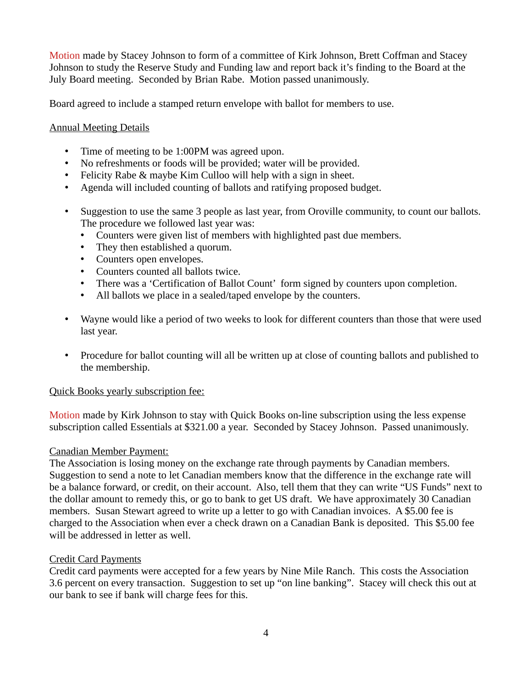Motion made by Stacey Johnson to form of a committee of Kirk Johnson, Brett Coffman and Stacey Johnson to study the Reserve Study and Funding law and report back it's finding to the Board at the July Board meeting. Seconded by Brian Rabe. Motion passed unanimously.

Board agreed to include a stamped return envelope with ballot for members to use.

## Annual Meeting Details

- Time of meeting to be 1:00PM was agreed upon.
- No refreshments or foods will be provided; water will be provided.
- Felicity Rabe & maybe Kim Culloo will help with a sign in sheet.
- Agenda will included counting of ballots and ratifying proposed budget.
- Suggestion to use the same 3 people as last year, from Oroville community, to count our ballots. The procedure we followed last year was:
	- Counters were given list of members with highlighted past due members.
	- They then established a quorum.
	- Counters open envelopes.
	- Counters counted all ballots twice.
	- There was a 'Certification of Ballot Count' form signed by counters upon completion.
	- All ballots we place in a sealed/taped envelope by the counters.
- Wayne would like a period of two weeks to look for different counters than those that were used last year.
- Procedure for ballot counting will all be written up at close of counting ballots and published to the membership.

#### Quick Books yearly subscription fee:

Motion made by Kirk Johnson to stay with Quick Books on-line subscription using the less expense subscription called Essentials at \$321.00 a year. Seconded by Stacey Johnson. Passed unanimously.

#### Canadian Member Payment:

The Association is losing money on the exchange rate through payments by Canadian members. Suggestion to send a note to let Canadian members know that the difference in the exchange rate will be a balance forward, or credit, on their account. Also, tell them that they can write "US Funds" next to the dollar amount to remedy this, or go to bank to get US draft. We have approximately 30 Canadian members. Susan Stewart agreed to write up a letter to go with Canadian invoices. A \$5.00 fee is charged to the Association when ever a check drawn on a Canadian Bank is deposited. This \$5.00 fee will be addressed in letter as well.

#### Credit Card Payments

Credit card payments were accepted for a few years by Nine Mile Ranch. This costs the Association 3.6 percent on every transaction. Suggestion to set up "on line banking". Stacey will check this out at our bank to see if bank will charge fees for this.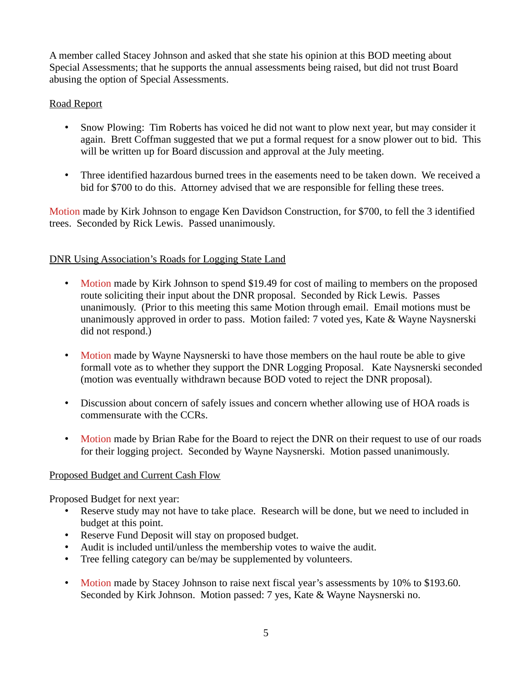A member called Stacey Johnson and asked that she state his opinion at this BOD meeting about Special Assessments; that he supports the annual assessments being raised, but did not trust Board abusing the option of Special Assessments.

## Road Report

- Snow Plowing: Tim Roberts has voiced he did not want to plow next year, but may consider it again. Brett Coffman suggested that we put a formal request for a snow plower out to bid. This will be written up for Board discussion and approval at the July meeting.
- Three identified hazardous burned trees in the easements need to be taken down. We received a bid for \$700 to do this. Attorney advised that we are responsible for felling these trees.

Motion made by Kirk Johnson to engage Ken Davidson Construction, for \$700, to fell the 3 identified trees. Seconded by Rick Lewis. Passed unanimously.

#### DNR Using Association's Roads for Logging State Land

- Motion made by Kirk Johnson to spend \$19.49 for cost of mailing to members on the proposed route soliciting their input about the DNR proposal. Seconded by Rick Lewis. Passes unanimously. (Prior to this meeting this same Motion through email. Email motions must be unanimously approved in order to pass. Motion failed: 7 voted yes, Kate & Wayne Naysnerski did not respond.)
- Motion made by Wayne Naysnerski to have those members on the haul route be able to give formall vote as to whether they support the DNR Logging Proposal. Kate Naysnerski seconded (motion was eventually withdrawn because BOD voted to reject the DNR proposal).
- Discussion about concern of safely issues and concern whether allowing use of HOA roads is commensurate with the CCRs.
- Motion made by Brian Rabe for the Board to reject the DNR on their request to use of our roads for their logging project. Seconded by Wayne Naysnerski. Motion passed unanimously.

#### Proposed Budget and Current Cash Flow

Proposed Budget for next year:

- Reserve study may not have to take place. Research will be done, but we need to included in budget at this point.
- Reserve Fund Deposit will stay on proposed budget.
- Audit is included until/unless the membership votes to waive the audit.
- Tree felling category can be/may be supplemented by volunteers.
- Motion made by Stacey Johnson to raise next fiscal year's assessments by 10% to \$193.60. Seconded by Kirk Johnson. Motion passed: 7 yes, Kate & Wayne Naysnerski no.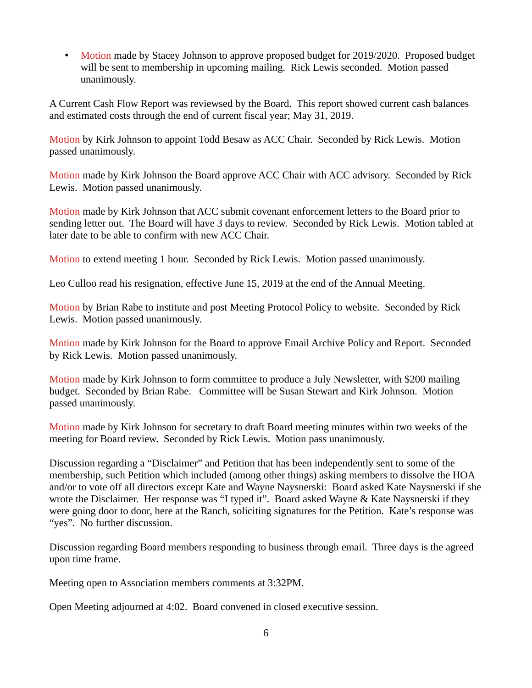• Motion made by Stacey Johnson to approve proposed budget for 2019/2020. Proposed budget will be sent to membership in upcoming mailing. Rick Lewis seconded. Motion passed unanimously.

A Current Cash Flow Report was reviewsed by the Board. This report showed current cash balances and estimated costs through the end of current fiscal year; May 31, 2019.

Motion by Kirk Johnson to appoint Todd Besaw as ACC Chair. Seconded by Rick Lewis. Motion passed unanimously.

Motion made by Kirk Johnson the Board approve ACC Chair with ACC advisory. Seconded by Rick Lewis. Motion passed unanimously.

Motion made by Kirk Johnson that ACC submit covenant enforcement letters to the Board prior to sending letter out. The Board will have 3 days to review. Seconded by Rick Lewis. Motion tabled at later date to be able to confirm with new ACC Chair.

Motion to extend meeting 1 hour. Seconded by Rick Lewis. Motion passed unanimously.

Leo Culloo read his resignation, effective June 15, 2019 at the end of the Annual Meeting.

Motion by Brian Rabe to institute and post Meeting Protocol Policy to website. Seconded by Rick Lewis. Motion passed unanimously.

Motion made by Kirk Johnson for the Board to approve Email Archive Policy and Report. Seconded by Rick Lewis. Motion passed unanimously.

Motion made by Kirk Johnson to form committee to produce a July Newsletter, with \$200 mailing budget. Seconded by Brian Rabe. Committee will be Susan Stewart and Kirk Johnson. Motion passed unanimously.

Motion made by Kirk Johnson for secretary to draft Board meeting minutes within two weeks of the meeting for Board review. Seconded by Rick Lewis. Motion pass unanimously.

Discussion regarding a "Disclaimer" and Petition that has been independently sent to some of the membership, such Petition which included (among other things) asking members to dissolve the HOA and/or to vote off all directors except Kate and Wayne Naysnerski: Board asked Kate Naysnerski if she wrote the Disclaimer. Her response was "I typed it". Board asked Wayne & Kate Naysnerski if they were going door to door, here at the Ranch, soliciting signatures for the Petition. Kate's response was "yes". No further discussion.

Discussion regarding Board members responding to business through email. Three days is the agreed upon time frame.

Meeting open to Association members comments at 3:32PM.

Open Meeting adjourned at 4:02. Board convened in closed executive session.